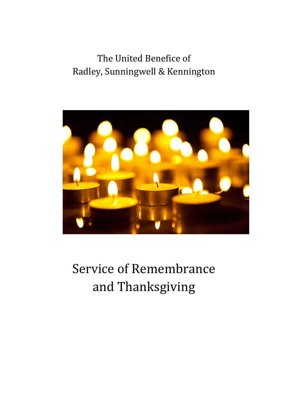## The United Benefice of Radley, Sunningwell & Kennington



# Service of Remembrance and Thanksgiving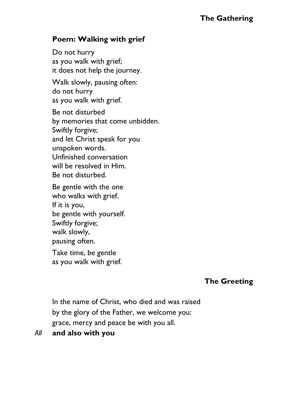#### **The Gathering**

#### **Poem: Walking with grief**

Do not hurry as you walk with grief; it does not help the journey. Walk slowly, pausing often: do not hurry as you walk with grief. Be not disturbed by memories that come unbidden. Swiftly forgive; and let Christ speak for you unspoken words. Unfinished conversation will be resolved in Him. Be not disturbed.

Be gentle with the one who walks with grief. If it is you, be gentle with yourself. Swiftly forgive; walk slowly, pausing often.

Take time, be gentle as you walk with grief.

#### **The Greeting**

In the name of Christ, who died and was raised by the glory of the Father, we welcome you: grace, mercy and peace be with you all.

#### *All* **and also with you**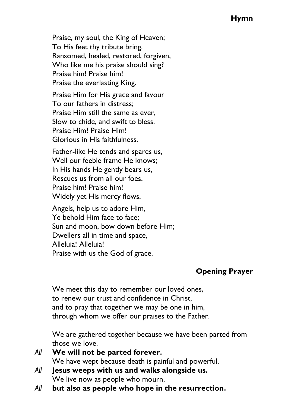#### **Hymn**

Praise, my soul, the King of Heaven; To His feet thy tribute bring. Ransomed, healed, restored, forgiven, Who like me his praise should sing? Praise him! Praise him! Praise the everlasting King. Praise Him for His grace and favour

To our fathers in distress; Praise Him still the same as ever, Slow to chide, and swift to bless. Praise Him! Praise Him! Glorious in His faithfulness.

Father-like He tends and spares us, Well our feeble frame He knows; In His hands He gently bears us, Rescues us from all our foes. Praise him! Praise him! Widely yet His mercy flows.

Angels, help us to adore Him, Ye behold Him face to face; Sun and moon, bow down before Him; Dwellers all in time and space, Alleluia! Alleluia! Praise with us the God of grace.

## **Opening Prayer**

We meet this day to remember our loved ones, to renew our trust and confidence in Christ, and to pray that together we may be one in him, through whom we offer our praises to the Father.

We are gathered together because we have been parted from those we love.

- *All* **We will not be parted forever.** We have wept because death is painful and powerful.
- *All* **Jesus weeps with us and walks alongside us.** We live now as people who mourn,
- *All* **but also as people who hope in the resurrection.**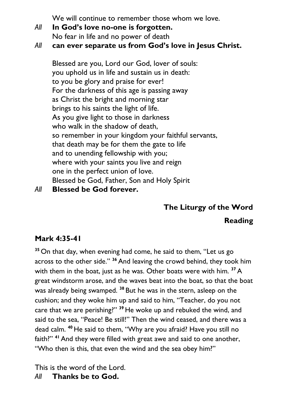We will continue to remember those whom we love.

- *All* **In God's love no-one is forgotten.** No fear in life and no power of death
- *All* **can ever separate us from God's love in Jesus Christ.**

Blessed are you, Lord our God, lover of souls: you uphold us in life and sustain us in death: to you be glory and praise for ever! For the darkness of this age is passing away as Christ the bright and morning star brings to his saints the light of life. As you give light to those in darkness who walk in the shadow of death, so remember in your kingdom your faithful servants, that death may be for them the gate to life and to unending fellowship with you; where with your saints you live and reign one in the perfect union of love. Blessed be God, Father, Son and Holy Spirit

*All* **Blessed be God forever.**

## **The Liturgy of the Word**

## **Reading**

## **Mark 4:35-41**

**<sup>35</sup>** On that day, when evening had come, he said to them, "Let us go across to the other side." **<sup>36</sup>** And leaving the crowd behind, they took him with them in the boat, just as he was. Other boats were with him. **<sup>37</sup>**A great windstorm arose, and the waves beat into the boat, so that the boat was already being swamped. **<sup>38</sup>** But he was in the stern, asleep on the cushion; and they woke him up and said to him, "Teacher, do you not care that we are perishing?" **<sup>39</sup>** He woke up and rebuked the wind, and said to the sea, "Peace! Be still!" Then the wind ceased, and there was a dead calm. **<sup>40</sup>** He said to them, "Why are you afraid? Have you still no faith?" **<sup>41</sup>**And they were filled with great awe and said to one another, "Who then is this, that even the wind and the sea obey him?"

This is the word of the Lord. *All* **Thanks be to God.**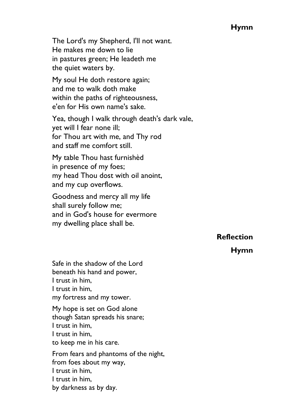#### **Hymn**

The Lord's my Shepherd, I'll not want. He makes me down to lie in pastures green; He leadeth me the quiet waters by.

My soul He doth restore again; and me to walk doth make within the paths of righteousness, e'en for His own name's sake.

Yea, though I walk through death's dark vale, yet will I fear none ill; for Thou art with me, and Thy rod and staff me comfort still.

My table Thou hast furnishèd in presence of my foes; my head Thou dost with oil anoint, and my cup overflows.

Goodness and mercy all my life shall surely follow me; and in God's house for evermore my dwelling place shall be.

**Reflection**

**Hymn**

Safe in the shadow of the Lord beneath his hand and power, I trust in him, I trust in him, my fortress and my tower.

My hope is set on God alone though Satan spreads his snare; I trust in him, I trust in him, to keep me in his care.

From fears and phantoms of the night, from foes about my way, I trust in him, I trust in him, by darkness as by day.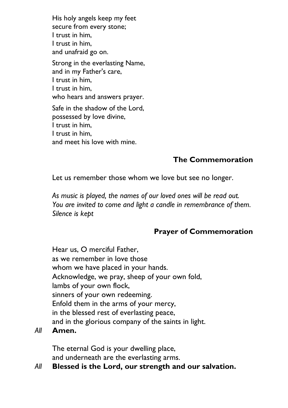His holy angels keep my feet secure from every stone; I trust in him, I trust in him, and unafraid go on.

Strong in the everlasting Name, and in my Father's care, I trust in him, I trust in him, who hears and answers prayer. Safe in the shadow of the Lord, possessed by love divine, I trust in him,

I trust in him,

and meet his love with mine.

## **The Commemoration**

Let us remember those whom we love but see no longer.

*As music is played, the names of our loved ones will be read out. You are invited to come and light a candle in remembrance of them. Silence is kept*

## **Prayer of Commemoration**

Hear us, O merciful Father, as we remember in love those whom we have placed in your hands. Acknowledge, we pray, sheep of your own fold, lambs of your own flock, sinners of your own redeeming. Enfold them in the arms of your mercy, in the blessed rest of everlasting peace, and in the glorious company of the saints in light.

*All* **Amen.**

The eternal God is your dwelling place, and underneath are the everlasting arms.

#### *All* **Blessed is the Lord, our strength and our salvation.**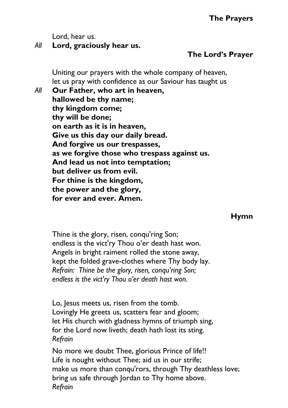Lord, hear us.

## *All* **Lord, graciously hear us.**

## **The Lord's Prayer**

Uniting our prayers with the whole company of heaven, let us pray with confidence as our Saviour has taught us

*All* **Our Father, who art in heaven, hallowed be thy name; thy kingdom come; thy will be done; on earth as it is in heaven, Give us this day our daily bread. And forgive us our trespasses, as we forgive those who trespass against us. And lead us not into temptation; but deliver us from evil. For thine is the kingdom, the power and the glory, for ever and ever. Amen.**

#### **Hymn**

Thine is the glory, risen, conqu'ring Son; endless is the vict'ry Thou o'er death hast won. Angels in bright raiment rolled the stone away, kept the folded grave-clothes where Thy body lay. *Refrain: Thine be the glory, risen, conqu'ring Son; endless is the vict'ry Thou o'er death hast won.*

Lo, Jesus meets us, risen from the tomb. Lovingly He greets us, scatters fear and gloom; let His church with gladness hymns of triumph sing, for the Lord now liveth; death hath lost its sting. *Refrain*

No more we doubt Thee, glorious Prince of life!! Life is nought without Thee; aid us in our strife; make us more than conqu'rors, through Thy deathless love; bring us safe through Jordan to Thy home above. *Refrain*